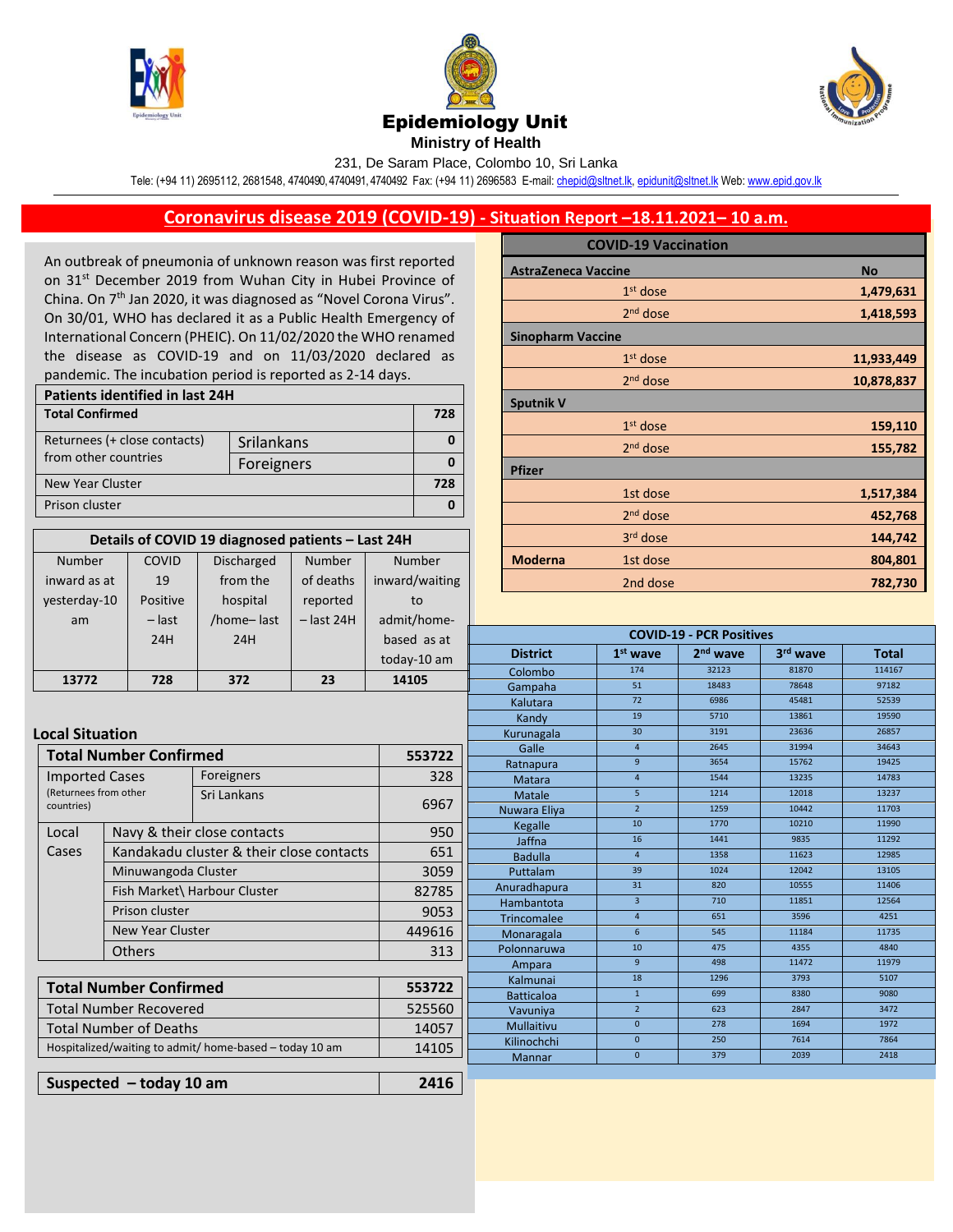





**Ministry of Health** 

231, De Saram Place, Colombo 10, Sri Lanka

Tele: (+94 11) 2695112, 2681548, 4740490, 4740491, 4740492 Fax: (+94 11) 2696583 E-mail[: chepid@sltnet.lk,](mailto:chepi@sltnet.lk) [epidunit@sltnet.lk](mailto:epidunit@sltnet.lk) Web[: www.epid.gov.lk](http://www.epid.gov.lk/)

## **Coronavirus disease 2019 (COVID-19) - Situation Report –18.11.2021– 10 a.m.**

An outbreak of pneumonia of unknown reason was first reported on 31<sup>st</sup> December 2019 from Wuhan City in Hubei Province of China. On 7<sup>th</sup> Jan 2020, it was diagnosed as "Novel Corona Virus". On 30/01, WHO has declared it as a Public Health Emergency of International Concern (PHEIC). On 11/02/2020 the WHO renamed the disease as COVID-19 and on 11/03/2020 declared as pandemic. The incubation period is reported as 2-14 days.

| Patients identified in last 24H |            |  |  |  |
|---------------------------------|------------|--|--|--|
| <b>Total Confirmed</b>          |            |  |  |  |
| Returnees (+ close contacts)    | Srilankans |  |  |  |
| from other countries            | Foreigners |  |  |  |
| <b>New Year Cluster</b>         |            |  |  |  |
| Prison cluster                  |            |  |  |  |

| Details of COVID 19 diagnosed patients - Last 24H |          |                   |              |                |  |  |
|---------------------------------------------------|----------|-------------------|--------------|----------------|--|--|
| <b>Number</b>                                     | COVID    | <b>Discharged</b> | Number       |                |  |  |
| inward as at                                      | 19       | from the          | of deaths    | inward/waiting |  |  |
| vesterday-10                                      | Positive | hospital          | reported     | to             |  |  |
| am                                                | $-$ last | /home-last        | $-$ last 24H | admit/home-    |  |  |
|                                                   | 24H      | 24H               |              | based as at    |  |  |
|                                                   |          |                   |              | today-10 am    |  |  |
| 13772                                             | 728      | 372               | 23           | 14105          |  |  |

Loc

| <b>No</b>  |
|------------|
|            |
| 1,479,631  |
| 1,418,593  |
|            |
| 11,933,449 |
| 10,878,837 |
|            |
| 159,110    |
| 155,782    |
|            |
| 1,517,384  |
| 452,768    |
| 144,742    |
| 804,801    |
| 782,730    |
|            |

**COVID-19 - PCR Positives**

|                                                         |                               |                                          |                   | today-10 am  | <b>District</b> | 1 <sup>st</sup> wave | 2 <sup>nd</sup> wave | 3rd wave | <b>Total</b> |
|---------------------------------------------------------|-------------------------------|------------------------------------------|-------------------|--------------|-----------------|----------------------|----------------------|----------|--------------|
|                                                         | 728                           |                                          | 23                |              | Colombo         | 174                  | 32123                | 81870    | 114167       |
| 13772                                                   |                               | 372                                      |                   | 14105        | Gampaha         | 51                   | 18483                | 78648    | 97182        |
|                                                         |                               |                                          |                   |              | Kalutara        | 72                   | 6986                 | 45481    | 52539        |
|                                                         |                               |                                          |                   |              | Kandy           | 19                   | 5710                 | 13861    | 19590        |
| <b>pcal Situation</b>                                   |                               |                                          |                   |              | Kurunagala      | 30                   | 3191                 | 23636    | 26857        |
|                                                         | <b>Total Number Confirmed</b> |                                          |                   | 553722       | Galle           | $\overline{4}$       | 2645                 | 31994    | 34643        |
|                                                         |                               |                                          |                   |              | Ratnapura       | 9                    | 3654                 | 15762    | 19425        |
| <b>Imported Cases</b>                                   |                               | Foreigners                               |                   | 328          | Matara          | $\overline{4}$       | 1544                 | 13235    | 14783        |
| (Returnees from other                                   |                               | Sri Lankans                              |                   |              | Matale          | 5 <sup>1</sup>       | 1214                 | 12018    | 13237        |
| countries)                                              |                               |                                          |                   | 6967         | Nuwara Eliya    | $\overline{2}$       | 1259                 | 10442    | 11703        |
| Local                                                   |                               | Navy & their close contacts              |                   | 950          | Kegalle         | 10                   | 1770                 | 10210    | 11990        |
|                                                         |                               |                                          |                   |              | Jaffna          | 16                   | 1441                 | 9835     | 11292        |
| Cases                                                   |                               | Kandakadu cluster & their close contacts |                   | 651          | <b>Badulla</b>  | $\overline{4}$       | 1358                 | 11623    | 12985        |
|                                                         | Minuwangoda Cluster           |                                          |                   | 3059         | Puttalam        | 39                   | 1024                 | 12042    | 13105        |
|                                                         |                               | Fish Market\ Harbour Cluster             |                   | 82785        | Anuradhapura    | 31                   | 820                  | 10555    | 11406        |
|                                                         | Prison cluster                |                                          |                   | 9053         | Hambantota      | $\overline{3}$       | 710                  | 11851    | 12564        |
|                                                         |                               |                                          |                   |              | Trincomalee     | $\overline{4}$       | 651                  | 3596     | 4251         |
|                                                         | <b>New Year Cluster</b>       |                                          |                   | 449616       | Monaragala      | 6                    | 545                  | 11184    | 11735        |
|                                                         | <b>Others</b>                 |                                          | 313               | Polonnaruwa  | 10              | 475                  | 4355                 | 4840     |              |
|                                                         |                               |                                          |                   |              | Ampara          | 9 <sup>°</sup>       | 498                  | 11472    | 11979        |
|                                                         |                               |                                          |                   | 553722       | Kalmunai        | 18                   | 1296                 | 3793     | 5107         |
| <b>Total Number Confirmed</b>                           |                               |                                          | <b>Batticaloa</b> | $\mathbf{1}$ | 699             | 8380                 | 9080                 |          |              |
| <b>Total Number Recovered</b>                           |                               |                                          | 525560            | Vavuniya     | $\overline{2}$  | 623                  | 2847                 | 3472     |              |
| <b>Total Number of Deaths</b>                           |                               |                                          | 14057             | Mullaitivu   | $\mathbf{0}$    | 278                  | 1694                 | 1972     |              |
| Hospitalized/waiting to admit/ home-based - today 10 am |                               | 14105                                    | Kilinochchi       | $\mathbf{0}$ | 250             | 7614                 | 7864                 |          |              |
|                                                         |                               |                                          |                   |              | <b>Mannar</b>   | $\mathbf{0}$         | 379                  | 2039     | 2418         |
|                                                         |                               |                                          |                   |              |                 |                      |                      |          |              |
|                                                         | Suspected $-$ today 10 am     |                                          |                   | 2416         |                 |                      |                      |          |              |